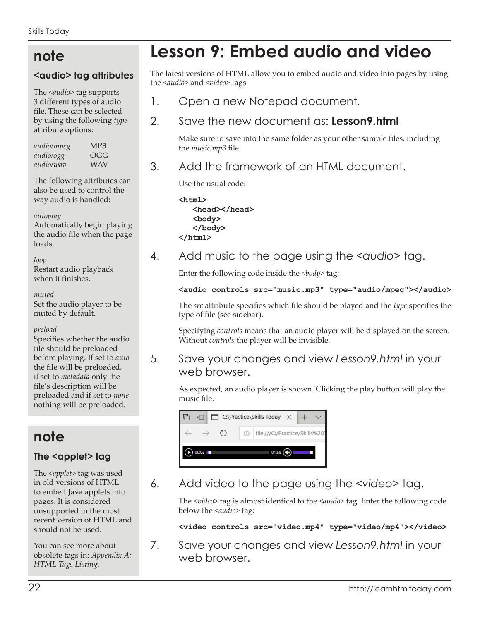# **note**

#### **<audio> tag attributes**

The *<audio>* tag supports 3 different types of audio file. These can be selected by using the following *type* attribute options:

| audio/mpeg       | MP3              |
|------------------|------------------|
| audio/ogg        | $O(\frac{1}{2})$ |
| <i>audio/wav</i> | WAV              |

The following attributes can also be used to control the way audio is handled:

#### *autoplay*

Automatically begin playing the audio file when the page loads.

#### *loop*

Restart audio playback when it finishes.

#### *muted*

Set the audio player to be muted by default.

#### *preload*

Specifies whether the audio file should be preloaded before playing. If set to *auto* the file will be preloaded, if set to *metadata* only the file's description will be preloaded and if set to *none* nothing will be preloaded.

# **note**

## The <applet> tag

The *<applet>* tag was used in old versions of HTML to embed Java applets into pages. It is considered unsupported in the most recent version of HTML and should not be used.

You can see more about obsolete tags in: *Appendix A: HTML Tags Listing.*

# **Lesson 9: Embed audio and video**

The latest versions of HTML allow you to embed audio and video into pages by using the *<audio>* and *<video>* tags.

1. Open a new Notepad document.

## 2. Save the new document as: **Lesson9.html**

Make sure to save into the same folder as your other sample files, including the *music.mp3* file.

3. Add the framework of an HTML document.

Use the usual code:

```
<html>
    <head></head>
    <body>
    </body>
</html>
```
## 4. Add music to the page using the *<audio>* tag.

Enter the following code inside the <br/>body> tag:

#### **<audio controls src="music.mp3" type="audio/mpeg"></audio>**

The *src* attribute specifies which file should be played and the *type* specifies the type of file (see sidebar).

Specifying *controls* means that an audio player will be displayed on the screen. Without *controls* the player will be invisible.

## 5. Save your changes and view *Lesson9.html* in your web browser.

As expected, an audio player is shown. Clicking the play button will play the music file.

|       | @ 白□ C:\Practice\Skills Today × +                                                                 |  |  |       |  |  |
|-------|---------------------------------------------------------------------------------------------------|--|--|-------|--|--|
|       | $\leftarrow$ $\rightarrow$ $\circlearrowright$ $\circlearrowright$ file:///C:/Practice/Skills%201 |  |  |       |  |  |
| 00:03 |                                                                                                   |  |  | 01:58 |  |  |

6. Add video to the page using the *<video>* tag.

The *<video>* tag is almost identical to the *<audio>* tag. Enter the following code below the *<audio>* tag:

**<video controls src="video.mp4" type="video/mp4"></video>**

7. Save your changes and view *Lesson9.html* in your web browser.